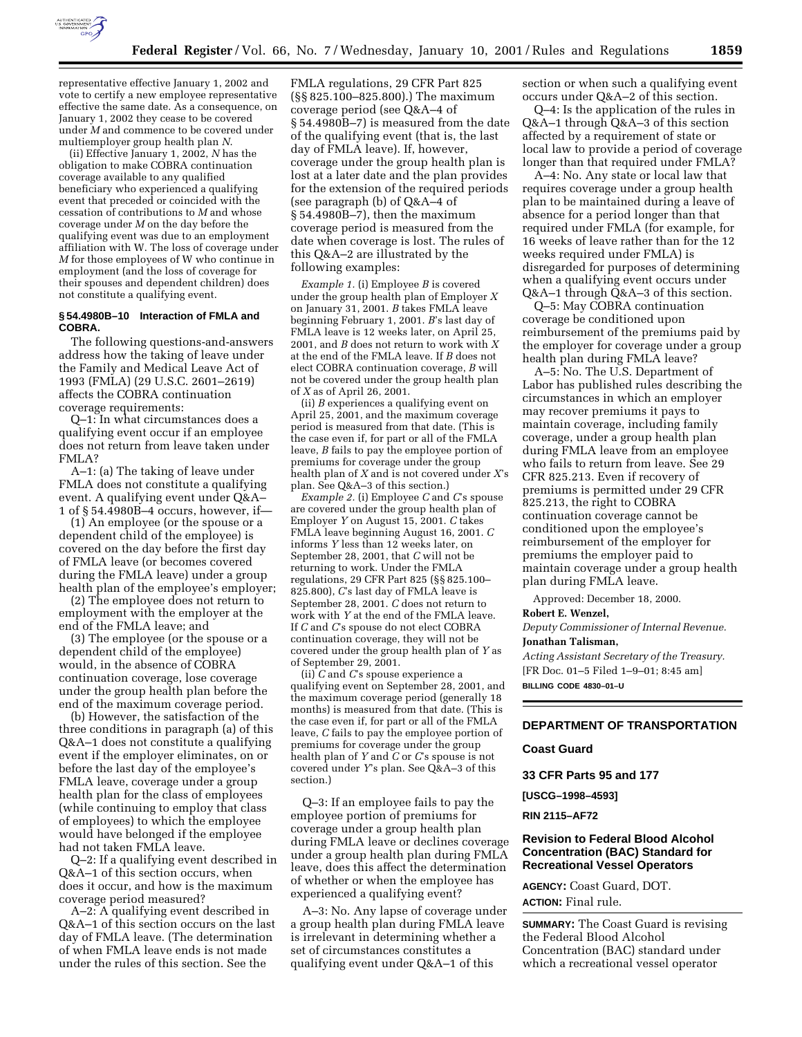

representative effective January 1, 2002 and vote to certify a new employee representative effective the same date. As a consequence, on January 1, 2002 they cease to be covered under *M* and commence to be covered under multiemployer group health plan *N*.

(ii) Effective January 1, 2002, *N* has the obligation to make COBRA continuation coverage available to any qualified beneficiary who experienced a qualifying event that preceded or coincided with the cessation of contributions to *M* and whose coverage under *M* on the day before the qualifying event was due to an employment affiliation with W. The loss of coverage under *M* for those employees of W who continue in employment (and the loss of coverage for their spouses and dependent children) does not constitute a qualifying event.

#### **§ 54.4980B–10 Interaction of FMLA and COBRA.**

The following questions-and-answers address how the taking of leave under the Family and Medical Leave Act of 1993 (FMLA) (29 U.S.C. 2601–2619) affects the COBRA continuation coverage requirements:

Q–1: In what circumstances does a qualifying event occur if an employee does not return from leave taken under FMLA?

A–1: (a) The taking of leave under FMLA does not constitute a qualifying event. A qualifying event under Q&A– 1 of § 54.4980B–4 occurs, however, if—

(1) An employee (or the spouse or a dependent child of the employee) is covered on the day before the first day of FMLA leave (or becomes covered during the FMLA leave) under a group health plan of the employee's employer;

(2) The employee does not return to employment with the employer at the end of the FMLA leave; and

(3) The employee (or the spouse or a dependent child of the employee) would, in the absence of COBRA continuation coverage, lose coverage under the group health plan before the end of the maximum coverage period.

(b) However, the satisfaction of the three conditions in paragraph (a) of this Q&A–1 does not constitute a qualifying event if the employer eliminates, on or before the last day of the employee's FMLA leave, coverage under a group health plan for the class of employees (while continuing to employ that class of employees) to which the employee would have belonged if the employee had not taken FMLA leave.

Q–2: If a qualifying event described in Q&A–1 of this section occurs, when does it occur, and how is the maximum coverage period measured?

A–2: A qualifying event described in Q&A–1 of this section occurs on the last day of FMLA leave. (The determination of when FMLA leave ends is not made under the rules of this section. See the

FMLA regulations, 29 CFR Part 825 (§§ 825.100–825.800).) The maximum coverage period (see Q&A–4 of § 54.4980B–7) is measured from the date of the qualifying event (that is, the last day of FMLA leave). If, however, coverage under the group health plan is lost at a later date and the plan provides for the extension of the required periods (see paragraph (b) of Q&A–4 of § 54.4980B–7), then the maximum coverage period is measured from the date when coverage is lost. The rules of this Q&A–2 are illustrated by the following examples:

*Example 1.* (i) Employee *B* is covered under the group health plan of Employer *X* on January 31, 2001. *B* takes FMLA leave beginning February 1, 2001. *B*'s last day of FMLA leave is 12 weeks later, on April 25, 2001, and *B* does not return to work with *X* at the end of the FMLA leave. If *B* does not elect COBRA continuation coverage, *B* will not be covered under the group health plan of *X* as of April 26, 2001.

(ii) *B* experiences a qualifying event on April 25, 2001, and the maximum coverage period is measured from that date. (This is the case even if, for part or all of the FMLA leave, *B* fails to pay the employee portion of premiums for coverage under the group health plan of *X* and is not covered under *X*'s plan. See Q&A–3 of this section.)

*Example 2.* (i) Employee *C* and *C*'s spouse are covered under the group health plan of Employer *Y* on August 15, 2001. *C* takes FMLA leave beginning August 16, 2001. *C* informs *Y* less than 12 weeks later, on September 28, 2001, that *C* will not be returning to work. Under the FMLA regulations, 29 CFR Part 825 (§§ 825.100– 825.800), *C*'s last day of FMLA leave is September 28, 2001. *C* does not return to work with *Y* at the end of the FMLA leave. If *C* and *C*'s spouse do not elect COBRA continuation coverage, they will not be covered under the group health plan of *Y* as of September 29, 2001.

(ii) *C* and *C*'s spouse experience a qualifying event on September 28, 2001, and the maximum coverage period (generally 18 months) is measured from that date. (This is the case even if, for part or all of the FMLA leave, *C* fails to pay the employee portion of premiums for coverage under the group health plan of *Y* and *C* or *C*'s spouse is not covered under *Y*'s plan. See Q&A–3 of this section.)

Q–3: If an employee fails to pay the employee portion of premiums for coverage under a group health plan during FMLA leave or declines coverage under a group health plan during FMLA leave, does this affect the determination of whether or when the employee has experienced a qualifying event?

A–3: No. Any lapse of coverage under a group health plan during FMLA leave is irrelevant in determining whether a set of circumstances constitutes a qualifying event under Q&A–1 of this

section or when such a qualifying event occurs under Q&A–2 of this section.

Q–4: Is the application of the rules in Q&A–1 through Q&A–3 of this section affected by a requirement of state or local law to provide a period of coverage longer than that required under FMLA?

A–4: No. Any state or local law that requires coverage under a group health plan to be maintained during a leave of absence for a period longer than that required under FMLA (for example, for 16 weeks of leave rather than for the 12 weeks required under FMLA) is disregarded for purposes of determining when a qualifying event occurs under Q&A–1 through Q&A–3 of this section.

Q–5: May COBRA continuation coverage be conditioned upon reimbursement of the premiums paid by the employer for coverage under a group health plan during FMLA leave?

A–5: No. The U.S. Department of Labor has published rules describing the circumstances in which an employer may recover premiums it pays to maintain coverage, including family coverage, under a group health plan during FMLA leave from an employee who fails to return from leave. See 29 CFR 825.213. Even if recovery of premiums is permitted under 29 CFR 825.213, the right to COBRA continuation coverage cannot be conditioned upon the employee's reimbursement of the employer for premiums the employer paid to maintain coverage under a group health plan during FMLA leave.

Approved: December 18, 2000.

#### **Robert E. Wenzel,**

*Deputy Commissioner of Internal Revenue.* **Jonathan Talisman,**

*Acting Assistant Secretary of the Treasury.* [FR Doc. 01–5 Filed 1–9–01; 8:45 am] **BILLING CODE 4830–01–U**

## **DEPARTMENT OF TRANSPORTATION**

#### **Coast Guard**

**33 CFR Parts 95 and 177**

**[USCG–1998–4593]**

**RIN 2115–AF72**

## **Revision to Federal Blood Alcohol Concentration (BAC) Standard for Recreational Vessel Operators**

**AGENCY:** Coast Guard, DOT. **ACTION:** Final rule.

**SUMMARY:** The Coast Guard is revising the Federal Blood Alcohol Concentration (BAC) standard under which a recreational vessel operator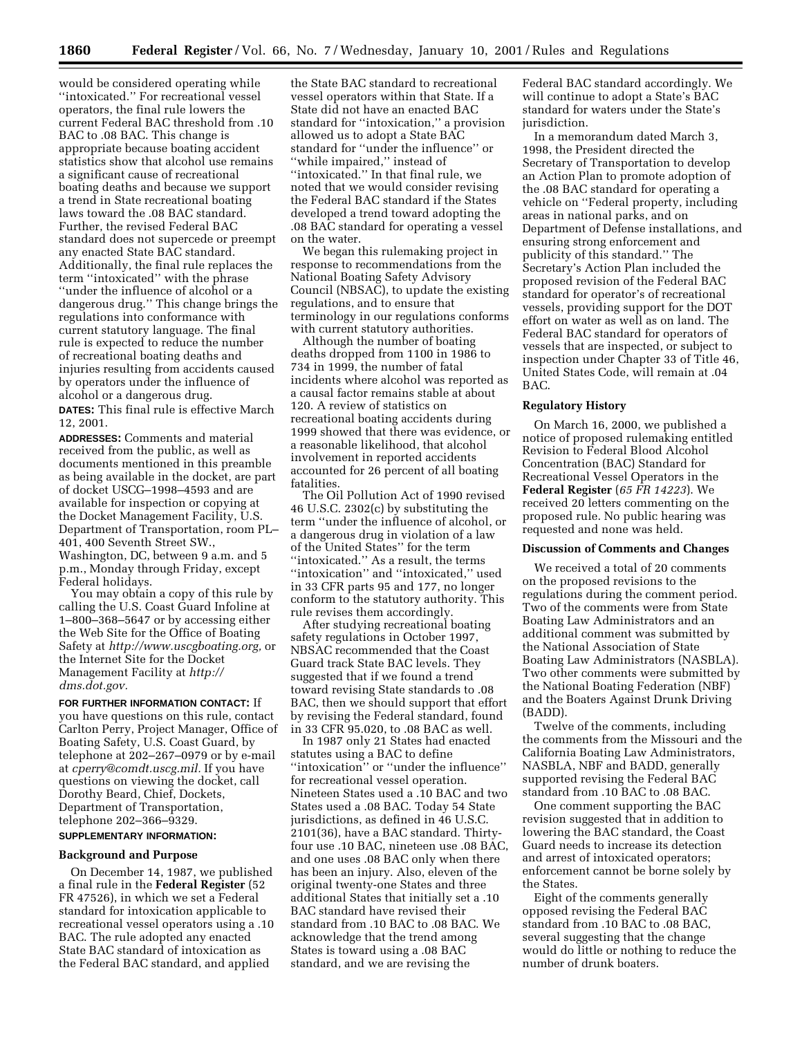would be considered operating while ''intoxicated.'' For recreational vessel operators, the final rule lowers the current Federal BAC threshold from .10 BAC to .08 BAC. This change is appropriate because boating accident statistics show that alcohol use remains a significant cause of recreational boating deaths and because we support a trend in State recreational boating laws toward the .08 BAC standard. Further, the revised Federal BAC standard does not supercede or preempt any enacted State BAC standard. Additionally, the final rule replaces the term ''intoxicated'' with the phrase ''under the influence of alcohol or a dangerous drug.'' This change brings the regulations into conformance with current statutory language. The final rule is expected to reduce the number of recreational boating deaths and injuries resulting from accidents caused by operators under the influence of alcohol or a dangerous drug.

**DATES:** This final rule is effective March 12, 2001.

**ADDRESSES:** Comments and material received from the public, as well as documents mentioned in this preamble as being available in the docket, are part of docket USCG–1998–4593 and are available for inspection or copying at the Docket Management Facility, U.S. Department of Transportation, room PL– 401, 400 Seventh Street SW., Washington, DC, between 9 a.m. and 5 p.m., Monday through Friday, except Federal holidays.

You may obtain a copy of this rule by calling the U.S. Coast Guard Infoline at 1–800–368–5647 or by accessing either the Web Site for the Office of Boating Safety at *http://www.uscgboating.org,* or the Internet Site for the Docket Management Facility at *http:// dms.dot.gov.*

**FOR FURTHER INFORMATION CONTACT:** If you have questions on this rule, contact Carlton Perry, Project Manager, Office of Boating Safety, U.S. Coast Guard, by telephone at 202–267–0979 or by e-mail at *cperry@comdt.uscg.mil.* If you have questions on viewing the docket, call Dorothy Beard, Chief, Dockets, Department of Transportation, telephone 202–366–9329.

# **SUPPLEMENTARY INFORMATION:**

## **Background and Purpose**

On December 14, 1987, we published a final rule in the **Federal Register** (52 FR 47526), in which we set a Federal standard for intoxication applicable to recreational vessel operators using a .10 BAC. The rule adopted any enacted State BAC standard of intoxication as the Federal BAC standard, and applied

the State BAC standard to recreational vessel operators within that State. If a State did not have an enacted BAC standard for ''intoxication,'' a provision allowed us to adopt a State BAC standard for ''under the influence'' or ''while impaired,'' instead of ''intoxicated.'' In that final rule, we noted that we would consider revising the Federal BAC standard if the States developed a trend toward adopting the .08 BAC standard for operating a vessel on the water.

We began this rulemaking project in response to recommendations from the National Boating Safety Advisory Council (NBSAC), to update the existing regulations, and to ensure that terminology in our regulations conforms with current statutory authorities.

Although the number of boating deaths dropped from 1100 in 1986 to 734 in 1999, the number of fatal incidents where alcohol was reported as a causal factor remains stable at about 120. A review of statistics on recreational boating accidents during 1999 showed that there was evidence, or a reasonable likelihood, that alcohol involvement in reported accidents accounted for 26 percent of all boating fatalities.

The Oil Pollution Act of 1990 revised 46 U.S.C. 2302(c) by substituting the term ''under the influence of alcohol, or a dangerous drug in violation of a law of the United States'' for the term "intoxicated." As a result, the terms ''intoxication'' and ''intoxicated,'' used in 33 CFR parts 95 and 177, no longer conform to the statutory authority. This rule revises them accordingly.

After studying recreational boating safety regulations in October 1997, NBSAC recommended that the Coast Guard track State BAC levels. They suggested that if we found a trend toward revising State standards to .08 BAC, then we should support that effort by revising the Federal standard, found in 33 CFR 95.020, to .08 BAC as well.

In 1987 only 21 States had enacted statutes using a BAC to define ''intoxication'' or ''under the influence'' for recreational vessel operation. Nineteen States used a .10 BAC and two States used a .08 BAC. Today 54 State jurisdictions, as defined in 46 U.S.C. 2101(36), have a BAC standard. Thirtyfour use .10 BAC, nineteen use .08 BAC, and one uses .08 BAC only when there has been an injury. Also, eleven of the original twenty-one States and three additional States that initially set a .10 BAC standard have revised their standard from .10 BAC to .08 BAC. We acknowledge that the trend among States is toward using a .08 BAC standard, and we are revising the

Federal BAC standard accordingly. We will continue to adopt a State's BAC standard for waters under the State's jurisdiction.

In a memorandum dated March 3, 1998, the President directed the Secretary of Transportation to develop an Action Plan to promote adoption of the .08 BAC standard for operating a vehicle on ''Federal property, including areas in national parks, and on Department of Defense installations, and ensuring strong enforcement and publicity of this standard.'' The Secretary's Action Plan included the proposed revision of the Federal BAC standard for operator's of recreational vessels, providing support for the DOT effort on water as well as on land. The Federal BAC standard for operators of vessels that are inspected, or subject to inspection under Chapter 33 of Title 46, United States Code, will remain at .04 BAC.

### **Regulatory History**

On March 16, 2000, we published a notice of proposed rulemaking entitled Revision to Federal Blood Alcohol Concentration (BAC) Standard for Recreational Vessel Operators in the **Federal Register** (*65 FR 14223*). We received 20 letters commenting on the proposed rule. No public hearing was requested and none was held.

### **Discussion of Comments and Changes**

We received a total of 20 comments on the proposed revisions to the regulations during the comment period. Two of the comments were from State Boating Law Administrators and an additional comment was submitted by the National Association of State Boating Law Administrators (NASBLA). Two other comments were submitted by the National Boating Federation (NBF) and the Boaters Against Drunk Driving (BADD).

Twelve of the comments, including the comments from the Missouri and the California Boating Law Administrators, NASBLA, NBF and BADD, generally supported revising the Federal BAC standard from .10 BAC to .08 BAC.

One comment supporting the BAC revision suggested that in addition to lowering the BAC standard, the Coast Guard needs to increase its detection and arrest of intoxicated operators; enforcement cannot be borne solely by the States.

Eight of the comments generally opposed revising the Federal BAC standard from .10 BAC to .08 BAC, several suggesting that the change would do little or nothing to reduce the number of drunk boaters.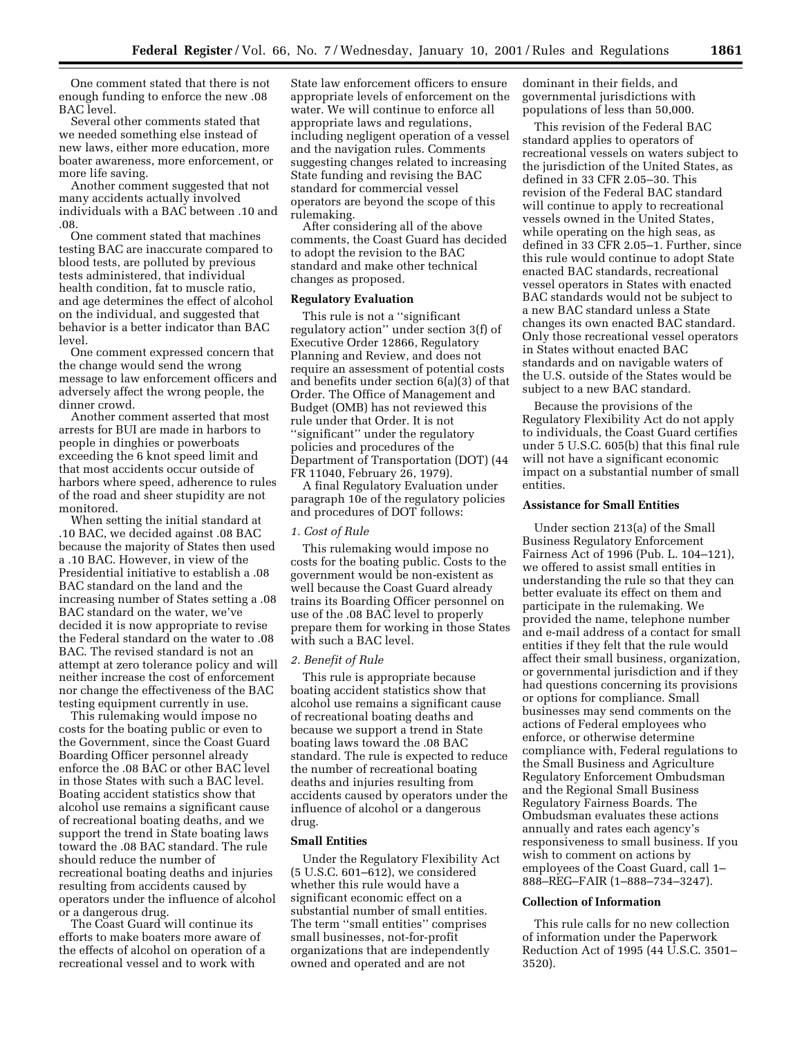One comment stated that there is not enough funding to enforce the new .08 BAC level.

Several other comments stated that we needed something else instead of new laws, either more education, more boater awareness, more enforcement, or more life saving.

Another comment suggested that not many accidents actually involved individuals with a BAC between .10 and .08.

One comment stated that machines testing BAC are inaccurate compared to blood tests, are polluted by previous tests administered, that individual health condition, fat to muscle ratio, and age determines the effect of alcohol on the individual, and suggested that behavior is a better indicator than BAC level.

One comment expressed concern that the change would send the wrong message to law enforcement officers and adversely affect the wrong people, the dinner crowd.

Another comment asserted that most arrests for BUI are made in harbors to people in dinghies or powerboats exceeding the 6 knot speed limit and that most accidents occur outside of harbors where speed, adherence to rules of the road and sheer stupidity are not monitored.

When setting the initial standard at .10 BAC, we decided against .08 BAC because the majority of States then used a .10 BAC. However, in view of the Presidential initiative to establish a .08 BAC standard on the land and the increasing number of States setting a .08 BAC standard on the water, we've decided it is now appropriate to revise the Federal standard on the water to .08 BAC. The revised standard is not an attempt at zero tolerance policy and will neither increase the cost of enforcement nor change the effectiveness of the BAC testing equipment currently in use.

This rulemaking would impose no costs for the boating public or even to the Government, since the Coast Guard Boarding Officer personnel already enforce the .08 BAC or other BAC level in those States with such a BAC level. Boating accident statistics show that alcohol use remains a significant cause of recreational boating deaths, and we support the trend in State boating laws toward the .08 BAC standard. The rule should reduce the number of recreational boating deaths and injuries resulting from accidents caused by operators under the influence of alcohol or a dangerous drug.

The Coast Guard will continue its efforts to make boaters more aware of the effects of alcohol on operation of a recreational vessel and to work with

State law enforcement officers to ensure appropriate levels of enforcement on the water. We will continue to enforce all appropriate laws and regulations, including negligent operation of a vessel and the navigation rules. Comments suggesting changes related to increasing State funding and revising the BAC standard for commercial vessel operators are beyond the scope of this rulemaking.

After considering all of the above comments, the Coast Guard has decided to adopt the revision to the BAC standard and make other technical changes as proposed.

#### **Regulatory Evaluation**

This rule is not a ''significant regulatory action'' under section 3(f) of Executive Order 12866, Regulatory Planning and Review, and does not require an assessment of potential costs and benefits under section 6(a)(3) of that Order. The Office of Management and Budget (OMB) has not reviewed this rule under that Order. It is not ''significant'' under the regulatory policies and procedures of the Department of Transportation (DOT) (44 FR 11040, February 26, 1979).

A final Regulatory Evaluation under paragraph 10e of the regulatory policies and procedures of DOT follows:

### *1. Cost of Rule*

This rulemaking would impose no costs for the boating public. Costs to the government would be non-existent as well because the Coast Guard already trains its Boarding Officer personnel on use of the .08 BAC level to properly prepare them for working in those States with such a BAC level.

### *2. Benefit of Rule*

This rule is appropriate because boating accident statistics show that alcohol use remains a significant cause of recreational boating deaths and because we support a trend in State boating laws toward the .08 BAC standard. The rule is expected to reduce the number of recreational boating deaths and injuries resulting from accidents caused by operators under the influence of alcohol or a dangerous drug.

#### **Small Entities**

Under the Regulatory Flexibility Act (5 U.S.C. 601–612), we considered whether this rule would have a significant economic effect on a substantial number of small entities. The term ''small entities'' comprises small businesses, not-for-profit organizations that are independently owned and operated and are not

dominant in their fields, and governmental jurisdictions with populations of less than 50,000.

This revision of the Federal BAC standard applies to operators of recreational vessels on waters subject to the jurisdiction of the United States, as defined in 33 CFR 2.05–30. This revision of the Federal BAC standard will continue to apply to recreational vessels owned in the United States, while operating on the high seas, as defined in 33 CFR 2.05–1. Further, since this rule would continue to adopt State enacted BAC standards, recreational vessel operators in States with enacted BAC standards would not be subject to a new BAC standard unless a State changes its own enacted BAC standard. Only those recreational vessel operators in States without enacted BAC standards and on navigable waters of the U.S. outside of the States would be subject to a new BAC standard.

Because the provisions of the Regulatory Flexibility Act do not apply to individuals, the Coast Guard certifies under 5 U.S.C. 605(b) that this final rule will not have a significant economic impact on a substantial number of small entities.

## **Assistance for Small Entities**

Under section 213(a) of the Small Business Regulatory Enforcement Fairness Act of 1996 (Pub. L. 104–121), we offered to assist small entities in understanding the rule so that they can better evaluate its effect on them and participate in the rulemaking. We provided the name, telephone number and e-mail address of a contact for small entities if they felt that the rule would affect their small business, organization, or governmental jurisdiction and if they had questions concerning its provisions or options for compliance. Small businesses may send comments on the actions of Federal employees who enforce, or otherwise determine compliance with, Federal regulations to the Small Business and Agriculture Regulatory Enforcement Ombudsman and the Regional Small Business Regulatory Fairness Boards. The Ombudsman evaluates these actions annually and rates each agency's responsiveness to small business. If you wish to comment on actions by employees of the Coast Guard, call 1– 888–REG–FAIR (1–888–734–3247).

#### **Collection of Information**

This rule calls for no new collection of information under the Paperwork Reduction Act of 1995 (44 U.S.C. 3501– 3520).